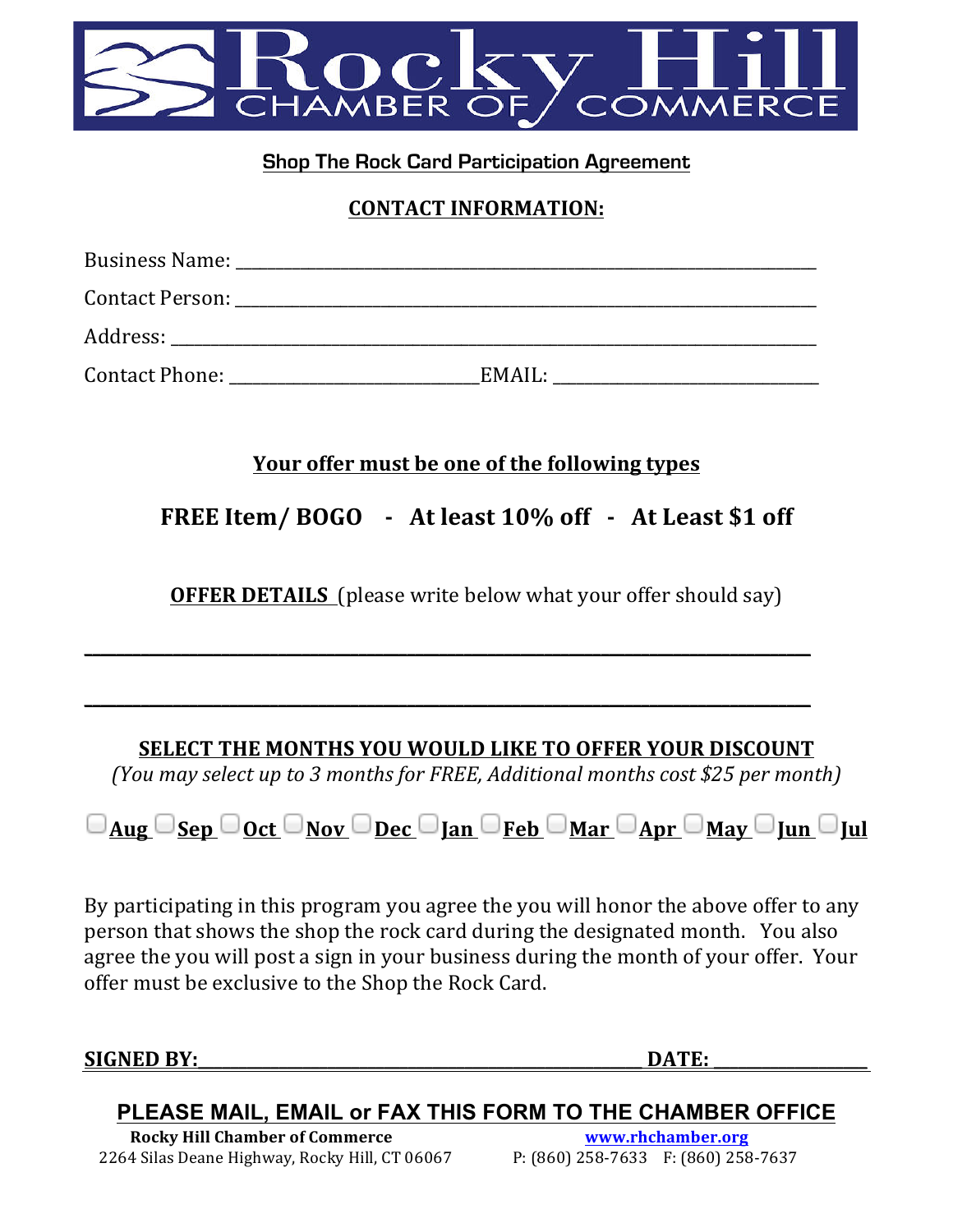

## **Shop The Rock Card Participation Agreement**

#### **CONTACT INFORMATION:**

| Business Name:        |        |
|-----------------------|--------|
| Contact Person:       |        |
| Address:              |        |
| <b>Contact Phone:</b> | EMAIL: |

## Your offer must be one of the following types

**FREE Item/ BOGO** - At least 10% off - At Least \$1 off

**OFFER DETAILS** (please write below what your offer should say)

**\_\_\_\_\_\_\_\_\_\_\_\_\_\_\_\_\_\_\_\_\_\_\_\_\_\_\_\_\_\_\_\_\_\_\_\_\_\_\_\_\_\_\_\_\_\_\_\_\_\_\_\_\_\_\_\_\_\_\_\_\_\_\_\_\_\_\_\_\_\_\_\_\_\_\_\_\_\_\_\_\_\_\_\_\_\_\_\_\_\_**

**\_\_\_\_\_\_\_\_\_\_\_\_\_\_\_\_\_\_\_\_\_\_\_\_\_\_\_\_\_\_\_\_\_\_\_\_\_\_\_\_\_\_\_\_\_\_\_\_\_\_\_\_\_\_\_\_\_\_\_\_\_\_\_\_\_\_\_\_\_\_\_\_\_\_\_\_\_\_\_\_\_\_\_\_\_\_\_\_\_\_**

## **SELECT THE MONTHS YOU WOULD LIKE TO OFFER YOUR DISCOUNT**

*(You may select up to 3 months for FREE, Additional months cost \$25 per month)*

|--|--|--|--|--|

By participating in this program you agree the you will honor the above offer to any person that shows the shop the rock card during the designated month. You also agree the you will post a sign in your business during the month of your offer. Your offer must be exclusive to the Shop the Rock Card.

#### **SIGNED BY:\_\_\_\_\_\_\_\_\_\_\_\_\_\_\_\_\_\_\_\_\_\_\_\_\_\_\_\_\_\_\_\_\_\_\_\_\_\_\_\_\_\_\_\_\_\_\_\_\_\_\_\_\_\_\_ DATE: \_\_\_\_\_\_\_\_\_\_\_\_\_\_\_\_\_\_\_**

# **PLEASE MAIL, EMAIL or FAX THIS FORM TO THE CHAMBER OFFICE**

 **Rocky Hill Chamber of Commerce www.rhchamber.org** 2264 Silas Deane Highway, Rocky Hill, CT 06067 P: (860) 258-7633 F: (860) 258-7637